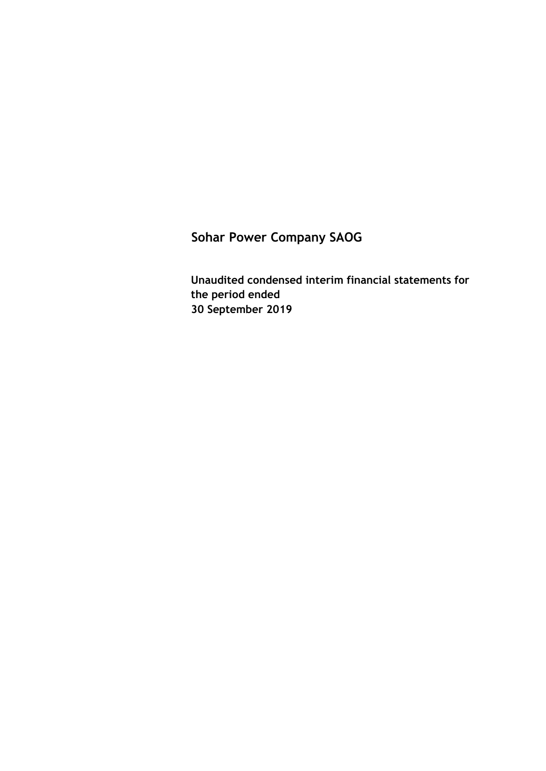**Unaudited condensed interim financial statements for the period ended 30 September 2019**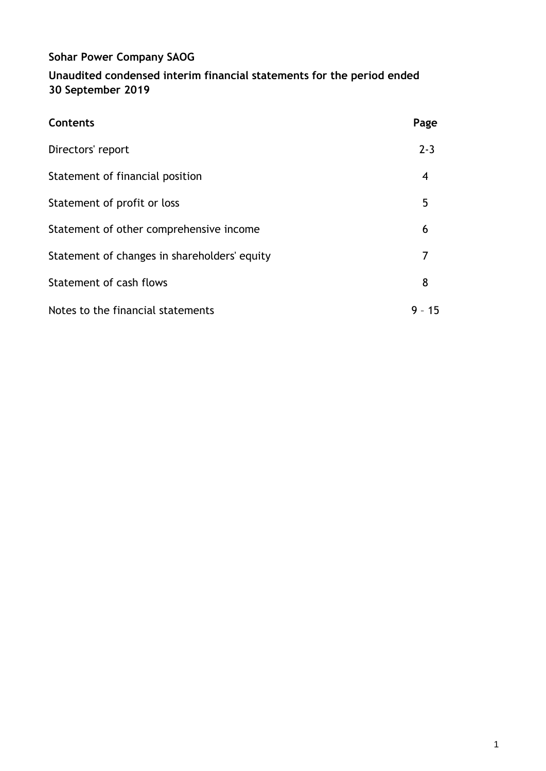# **Sohar Power Company SAOG Unaudited condensed interim financial statements for the period ended 30 September 2019**

| Contents                                     | Page    |
|----------------------------------------------|---------|
| Directors' report                            | $2 - 3$ |
| Statement of financial position              | 4       |
| Statement of profit or loss                  | 5       |
| Statement of other comprehensive income      | 6       |
| Statement of changes in shareholders' equity | 7       |
| Statement of cash flows                      | 8       |
| Notes to the financial statements            | 9 - 15  |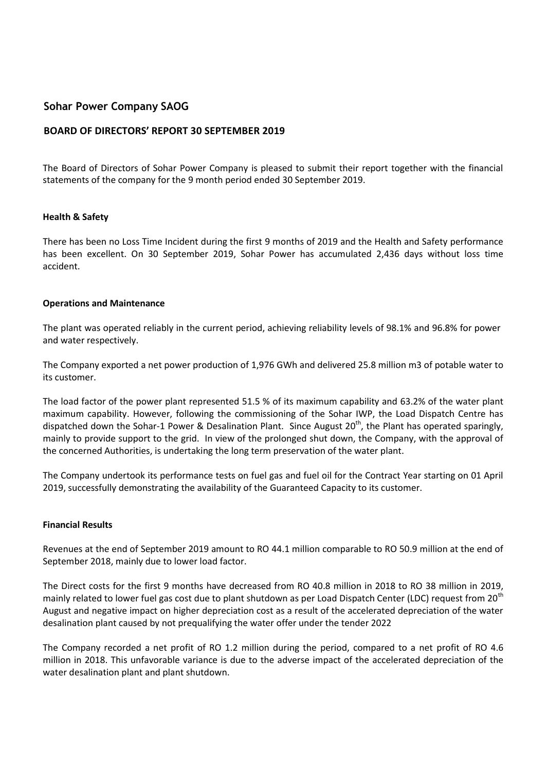### **BOARD OF DIRECTORS' REPORT 30 SEPTEMBER 2019**

The Board of Directors of Sohar Power Company is pleased to submit their report together with the financial statements of the company for the 9 month period ended 30 September 2019.

### **Health & Safety**

There has been no Loss Time Incident during the first 9 months of 2019 and the Health and Safety performance has been excellent. On 30 September 2019, Sohar Power has accumulated 2,436 days without loss time accident.

#### **Operations and Maintenance**

The plant was operated reliably in the current period, achieving reliability levels of 98.1% and 96.8% for power and water respectively.

The Company exported a net power production of 1,976 GWh and delivered 25.8 million m3 of potable water to its customer.

The load factor of the power plant represented 51.5 % of its maximum capability and 63.2% of the water plant maximum capability. However, following the commissioning of the Sohar IWP, the Load Dispatch Centre has dispatched down the Sohar-1 Power & Desalination Plant. Since August 20<sup>th</sup>, the Plant has operated sparingly, mainly to provide support to the grid. In view of the prolonged shut down, the Company, with the approval of the concerned Authorities, is undertaking the long term preservation of the water plant.

The Company undertook its performance tests on fuel gas and fuel oil for the Contract Year starting on 01 April 2019, successfully demonstrating the availability of the Guaranteed Capacity to its customer.

#### **Financial Results**

Revenues at the end of September 2019 amount to RO 44.1 million comparable to RO 50.9 million at the end of September 2018, mainly due to lower load factor.

The Direct costs for the first 9 months have decreased from RO 40.8 million in 2018 to RO 38 million in 2019, mainly related to lower fuel gas cost due to plant shutdown as per Load Dispatch Center (LDC) request from 20<sup>th</sup> August and negative impact on higher depreciation cost as a result of the accelerated depreciation of the water desalination plant caused by not prequalifying the water offer under the tender 2022

The Company recorded a net profit of RO 1.2 million during the period, compared to a net profit of RO 4.6 million in 2018. This unfavorable variance is due to the adverse impact of the accelerated depreciation of the water desalination plant and plant shutdown.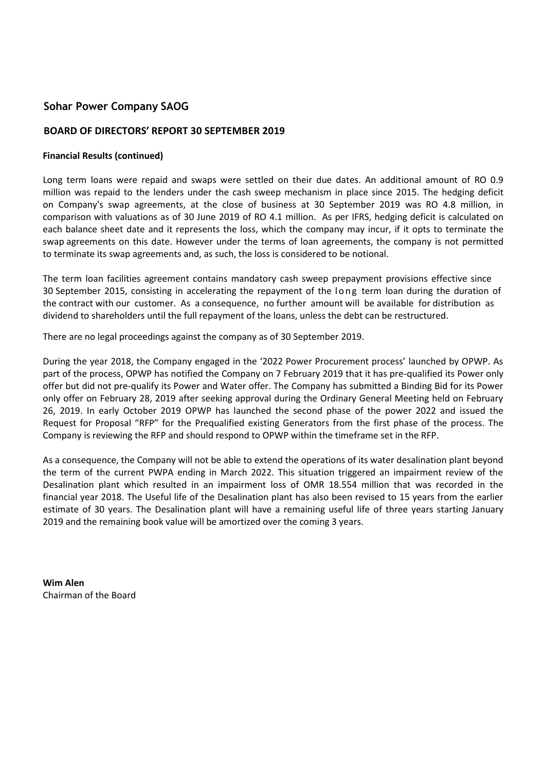### **BOARD OF DIRECTORS' REPORT 30 SEPTEMBER 2019**

#### **Financial Results (continued)**

Long term loans were repaid and swaps were settled on their due dates. An additional amount of RO 0.9 million was repaid to the lenders under the cash sweep mechanism in place since 2015. The hedging deficit on Company's swap agreements, at the close of business at 30 September 2019 was RO 4.8 million, in comparison with valuations as of 30 June 2019 of RO 4.1 million. As per IFRS, hedging deficit is calculated on each balance sheet date and it represents the loss, which the company may incur, if it opts to terminate the swap agreements on this date. However under the terms of loan agreements, the company is not permitted to terminate its swap agreements and, as such, the loss is considered to be notional.

The term loan facilities agreement contains mandatory cash sweep prepayment provisions effective since 30 September 2015, consisting in accelerating the repayment of the long term loan during the duration of the contract with our customer. As a consequence, no further amount will be available for distribution as dividend to shareholders until the full repayment of the loans, unless the debt can be restructured.

There are no legal proceedings against the company as of 30 September 2019.

During the year 2018, the Company engaged in the '2022 Power Procurement process' launched by OPWP. As part of the process, OPWP has notified the Company on 7 February 2019 that it has pre-qualified its Power only offer but did not pre-qualify its Power and Water offer. The Company has submitted a Binding Bid for its Power only offer on February 28, 2019 after seeking approval during the Ordinary General Meeting held on February 26, 2019. In early October 2019 OPWP has launched the second phase of the power 2022 and issued the Request for Proposal "RFP" for the Prequalified existing Generators from the first phase of the process. The Company is reviewing the RFP and should respond to OPWP within the timeframe set in the RFP.

As a consequence, the Company will not be able to extend the operations of its water desalination plant beyond the term of the current PWPA ending in March 2022. This situation triggered an impairment review of the Desalination plant which resulted in an impairment loss of OMR 18.554 million that was recorded in the financial year 2018. The Useful life of the Desalination plant has also been revised to 15 years from the earlier estimate of 30 years. The Desalination plant will have a remaining useful life of three years starting January 2019 and the remaining book value will be amortized over the coming 3 years.

**Wim Alen** Chairman of the Board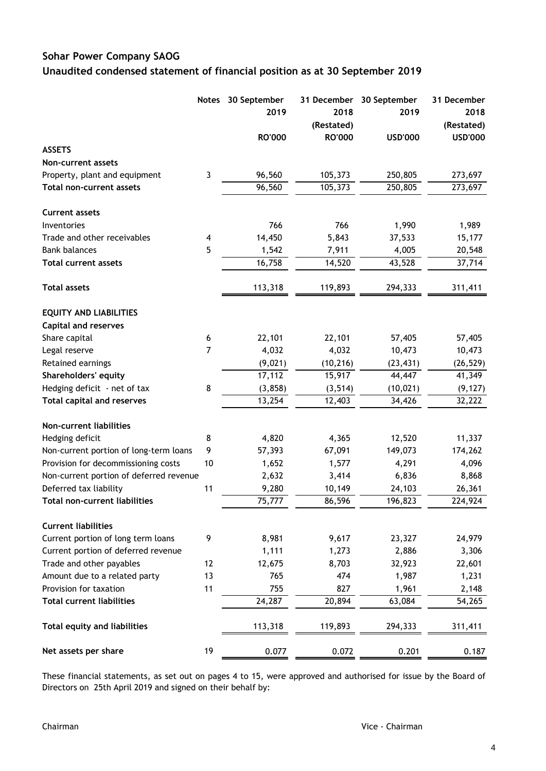# **Sohar Power Company SAOG Unaudited condensed statement of financial position as at 30 September 2019**

|                                         | <b>Notes</b>            | 30 September        | 31 December   | 30 September   | 31 December    |
|-----------------------------------------|-------------------------|---------------------|---------------|----------------|----------------|
|                                         |                         | 2019                | 2018          | 2019           | 2018           |
|                                         |                         |                     | (Restated)    |                | (Restated)     |
|                                         |                         | <b>RO'000</b>       | <b>RO'000</b> | <b>USD'000</b> | <b>USD'000</b> |
| <b>ASSETS</b>                           |                         |                     |               |                |                |
| Non-current assets                      |                         |                     |               |                |                |
| Property, plant and equipment           | 3                       | 96,560              | 105,373       | 250,805        | 273,697        |
| <b>Total non-current assets</b>         |                         | $\overline{96,560}$ | 105,373       | 250,805        | 273,697        |
| <b>Current assets</b>                   |                         |                     |               |                |                |
| Inventories                             |                         | 766                 | 766           | 1,990          | 1,989          |
| Trade and other receivables             | $\overline{\mathbf{A}}$ | 14,450              | 5,843         | 37,533         | 15,177         |
| <b>Bank balances</b>                    | 5                       | 1,542               | 7,911         | 4,005          | 20,548         |
| <b>Total current assets</b>             |                         | 16,758              | 14,520        | 43,528         | 37,714         |
| <b>Total assets</b>                     |                         | 113,318             | 119,893       | 294,333        | 311,411        |
| <b>EQUITY AND LIABILITIES</b>           |                         |                     |               |                |                |
| <b>Capital and reserves</b>             |                         |                     |               |                |                |
| Share capital                           | 6                       | 22,101              | 22,101        | 57,405         | 57,405         |
| Legal reserve                           | $\overline{7}$          | 4,032               | 4,032         | 10,473         | 10,473         |
| Retained earnings                       |                         | (9,021)             | (10, 216)     | (23, 431)      | (26, 529)      |
| Shareholders' equity                    |                         | 17,112              | 15,917        | 44,447         | 41,349         |
| Hedging deficit - net of tax            | 8                       | (3, 858)            | (3, 514)      | (10, 021)      | (9, 127)       |
| <b>Total capital and reserves</b>       |                         | 13,254              | 12,403        | 34,426         | 32,222         |
| Non-current liabilities                 |                         |                     |               |                |                |
| Hedging deficit                         | 8                       | 4,820               | 4,365         | 12,520         | 11,337         |
| Non-current portion of long-term loans  | 9                       | 57,393              | 67,091        | 149,073        | 174,262        |
| Provision for decommissioning costs     | 10                      | 1,652               | 1,577         | 4,291          | 4,096          |
| Non-current portion of deferred revenue |                         | 2,632               | 3,414         | 6,836          | 8,868          |
| Deferred tax liability                  | 11                      | 9,280               | 10,149        | 24,103         | 26,361         |
| <b>Total non-current liabilities</b>    |                         | 75,777              | 86,596        | 196,823        | 224,924        |
| <b>Current liabilities</b>              |                         |                     |               |                |                |
| Current portion of long term loans      | 9                       | 8,981               | 9,617         | 23,327         | 24,979         |
| Current portion of deferred revenue     |                         | 1,111               | 1,273         | 2,886          | 3,306          |
| Trade and other payables                | 12                      | 12,675              | 8,703         | 32,923         | 22,601         |
| Amount due to a related party           | 13                      | 765                 | 474           | 1,987          | 1,231          |
| Provision for taxation                  | 11                      | 755                 | 827           | 1,961          | 2,148          |
| <b>Total current liabilities</b>        |                         | 24,287              | 20,894        | 63,084         | 54,265         |
| <b>Total equity and liabilities</b>     |                         | 113,318             | 119,893       | 294,333        | 311,411        |
| Net assets per share                    | 19                      | 0.077               | 0.072         | 0.201          | 0.187          |

These financial statements, as set out on pages 4 to 15, were approved and authorised for issue by the Board of Directors on 25th April 2019 and signed on their behalf by: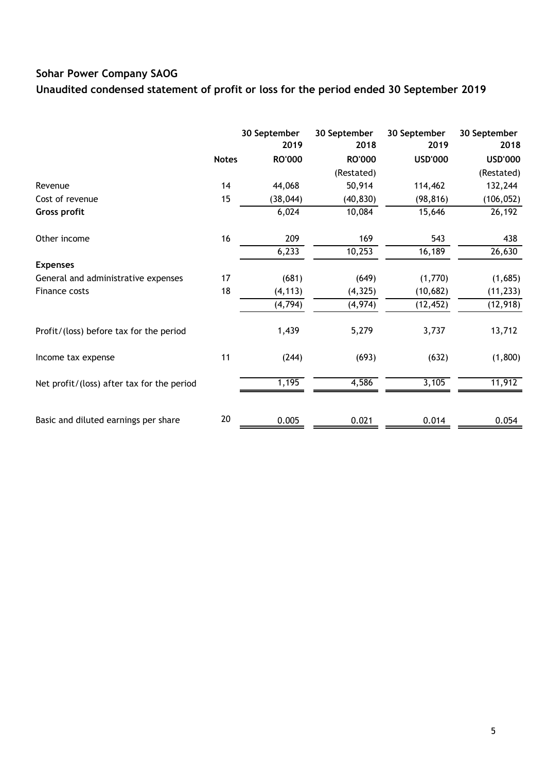**Unaudited condensed statement of profit or loss for the period ended 30 September 2019**

|                                            |              | 30 September<br>2019 | 30 September<br>2018 | 30 September<br>2019 | 30 September<br>2018 |
|--------------------------------------------|--------------|----------------------|----------------------|----------------------|----------------------|
|                                            | <b>Notes</b> | <b>RO'000</b>        | <b>RO'000</b>        | <b>USD'000</b>       | <b>USD'000</b>       |
|                                            |              |                      | (Restated)           |                      | (Restated)           |
| Revenue                                    | 14           | 44,068               | 50,914               | 114,462              | 132,244              |
| Cost of revenue                            | 15           | (38, 044)            | (40, 830)            | (98, 816)            | (106, 052)           |
| Gross profit                               |              | 6,024                | 10,084               | 15,646               | 26,192               |
| Other income                               | 16           | 209                  | 169                  | 543                  | 438                  |
|                                            |              | 6,233                | 10,253               | 16,189               | 26,630               |
| <b>Expenses</b>                            |              |                      |                      |                      |                      |
| General and administrative expenses        | 17           | (681)                | (649)                | (1,770)              | (1,685)              |
| Finance costs                              | 18           | (4, 113)             | (4, 325)             | (10, 682)            | (11, 233)            |
|                                            |              | (4, 794)             | (4, 974)             | (12, 452)            | (12, 918)            |
| Profit/(loss) before tax for the period    |              | 1,439                | 5,279                | 3,737                | 13,712               |
| Income tax expense                         | 11           | (244)                | (693)                | (632)                | (1,800)              |
| Net profit/(loss) after tax for the period |              | 1,195                | 4,586                | 3,105                | 11,912               |
|                                            |              |                      |                      |                      |                      |
| Basic and diluted earnings per share       | 20           | 0.005                | 0.021                | 0.014                | 0.054                |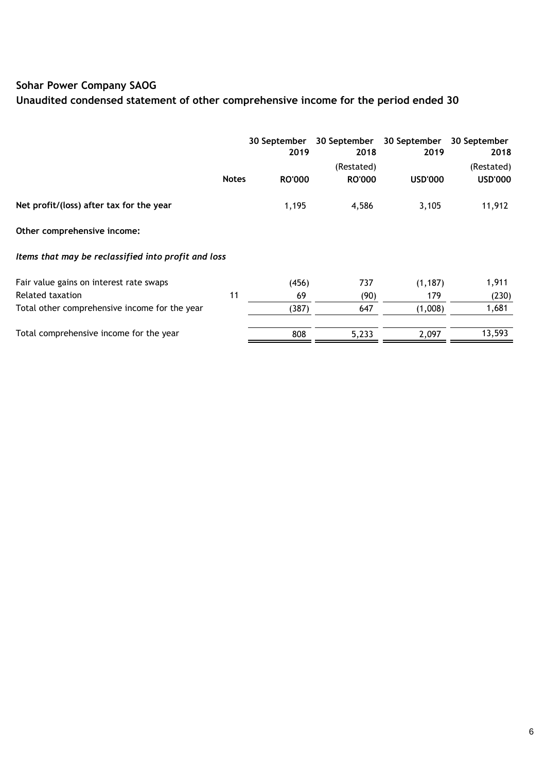# **Unaudited condensed statement of other comprehensive income for the period ended 30**

|                                                     |              | 30 September<br>2019 | 30 September<br>2018 | 30 September<br>2019 | 30 September<br>2018 |  |
|-----------------------------------------------------|--------------|----------------------|----------------------|----------------------|----------------------|--|
|                                                     |              |                      | (Restated)           |                      | (Restated)           |  |
|                                                     | <b>Notes</b> | <b>RO'000</b>        | <b>RO'000</b>        | <b>USD'000</b>       | <b>USD'000</b>       |  |
| Net profit/(loss) after tax for the year            |              | 1,195                | 4,586                | 3,105                | 11,912               |  |
| Other comprehensive income:                         |              |                      |                      |                      |                      |  |
| Items that may be reclassified into profit and loss |              |                      |                      |                      |                      |  |
| Fair value gains on interest rate swaps             |              | (456)                | 737                  | (1, 187)             | 1,911                |  |
| Related taxation                                    | 11           | 69                   | (90)                 | 179                  | (230)                |  |
| Total other comprehensive income for the year       |              | (387)                | 647                  | (1,008)              | 1,681                |  |
| Total comprehensive income for the year             |              | 808                  | 5,233                | 2,097                | 13,593               |  |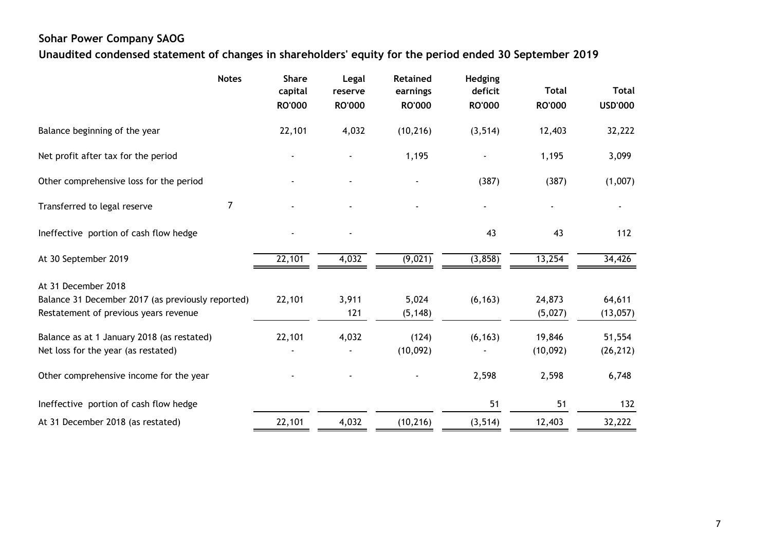**Unaudited condensed statement of changes in shareholders' equity for the period ended 30 September 2019**

|                                                                                            | <b>Notes</b>   | <b>Share</b><br>capital<br><b>RO'000</b> | Legal<br>reserve<br><b>RO'000</b> | Retained<br>earnings<br><b>RO'000</b> | Hedging<br>deficit<br><b>RO'000</b> | <b>Total</b><br><b>RO'000</b> | <b>Total</b><br><b>USD'000</b> |
|--------------------------------------------------------------------------------------------|----------------|------------------------------------------|-----------------------------------|---------------------------------------|-------------------------------------|-------------------------------|--------------------------------|
| Balance beginning of the year                                                              |                | 22,101                                   | 4,032                             | (10, 216)                             | (3, 514)                            | 12,403                        | 32,222                         |
| Net profit after tax for the period                                                        |                |                                          |                                   | 1,195                                 |                                     | 1,195                         | 3,099                          |
| Other comprehensive loss for the period                                                    |                |                                          |                                   |                                       | (387)                               | (387)                         | (1,007)                        |
| Transferred to legal reserve                                                               | $\overline{7}$ |                                          |                                   |                                       |                                     |                               |                                |
| Ineffective portion of cash flow hedge                                                     |                |                                          |                                   |                                       | 43                                  | 43                            | 112                            |
| At 30 September 2019                                                                       |                | 22,101                                   | 4,032                             | (9,021)                               | (3,858)                             | 13,254                        | 34,426                         |
| At 31 December 2018                                                                        |                |                                          |                                   |                                       |                                     |                               |                                |
| Balance 31 December 2017 (as previously reported)<br>Restatement of previous years revenue |                | 22,101                                   | 3,911<br>121                      | 5,024<br>(5, 148)                     | (6, 163)                            | 24,873<br>(5,027)             | 64,611<br>(13,057)             |
| Balance as at 1 January 2018 (as restated)                                                 |                | 22,101                                   | 4,032                             | (124)                                 | (6, 163)                            | 19,846                        | 51,554                         |
| Net loss for the year (as restated)                                                        |                |                                          |                                   | (10,092)                              |                                     | (10,092)                      | (26, 212)                      |
| Other comprehensive income for the year                                                    |                |                                          |                                   |                                       | 2,598                               | 2,598                         | 6,748                          |
| Ineffective portion of cash flow hedge                                                     |                |                                          |                                   |                                       | 51                                  | 51                            | 132                            |
| At 31 December 2018 (as restated)                                                          |                | 22,101                                   | 4,032                             | (10, 216)                             | (3, 514)                            | 12,403                        | 32,222                         |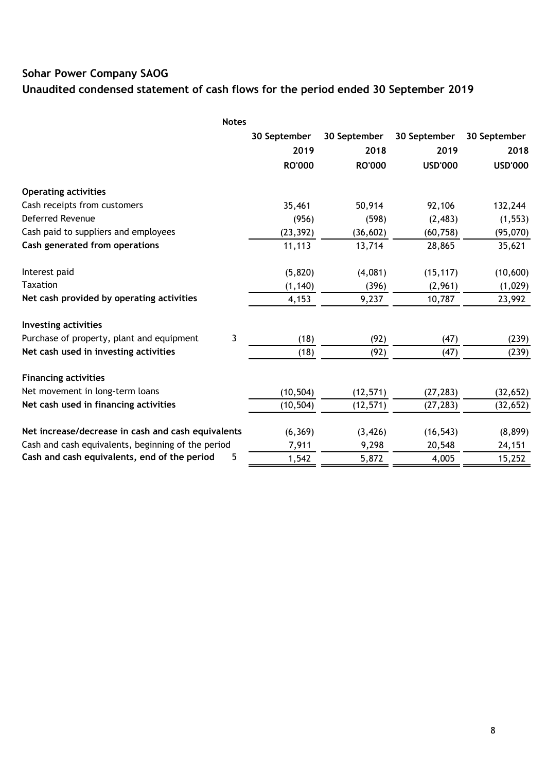# **Unaudited condensed statement of cash flows for the period ended 30 September 2019**

| <b>Notes</b>                                       |               |               |                |                |
|----------------------------------------------------|---------------|---------------|----------------|----------------|
|                                                    | 30 September  | 30 September  | 30 September   | 30 September   |
|                                                    | 2019          | 2018          | 2019           | 2018           |
|                                                    | <b>RO'000</b> | <b>RO'000</b> | <b>USD'000</b> | <b>USD'000</b> |
| <b>Operating activities</b>                        |               |               |                |                |
| Cash receipts from customers                       | 35,461        | 50,914        | 92,106         | 132,244        |
| Deferred Revenue                                   | (956)         | (598)         | (2, 483)       | (1, 553)       |
| Cash paid to suppliers and employees               | (23, 392)     | (36, 602)     | (60, 758)      | (95,070)       |
| Cash generated from operations                     | 11,113        | 13,714        | 28,865         | 35,621         |
| Interest paid                                      | (5,820)       | (4,081)       | (15, 117)      | (10,600)       |
| <b>Taxation</b>                                    | (1, 140)      | (396)         | (2,961)        | (1,029)        |
| Net cash provided by operating activities          | 4,153         | 9,237         | 10,787         | 23,992         |
| <b>Investing activities</b>                        |               |               |                |                |
| 3<br>Purchase of property, plant and equipment     | (18)          | (92)          | (47)           | (239)          |
| Net cash used in investing activities              | (18)          | (92)          | (47)           | (239)          |
| <b>Financing activities</b>                        |               |               |                |                |
| Net movement in long-term loans                    | (10, 504)     | (12, 571)     | (27, 283)      | (32, 652)      |
| Net cash used in financing activities              | (10, 504)     | (12, 571)     | (27, 283)      | (32, 652)      |
| Net increase/decrease in cash and cash equivalents | (6, 369)      | (3, 426)      | (16, 543)      | (8,899)        |
| Cash and cash equivalents, beginning of the period | 7,911         | 9,298         | 20,548         | 24,151         |
| 5<br>Cash and cash equivalents, end of the period  | 1,542         | 5,872         | 4,005          | 15,252         |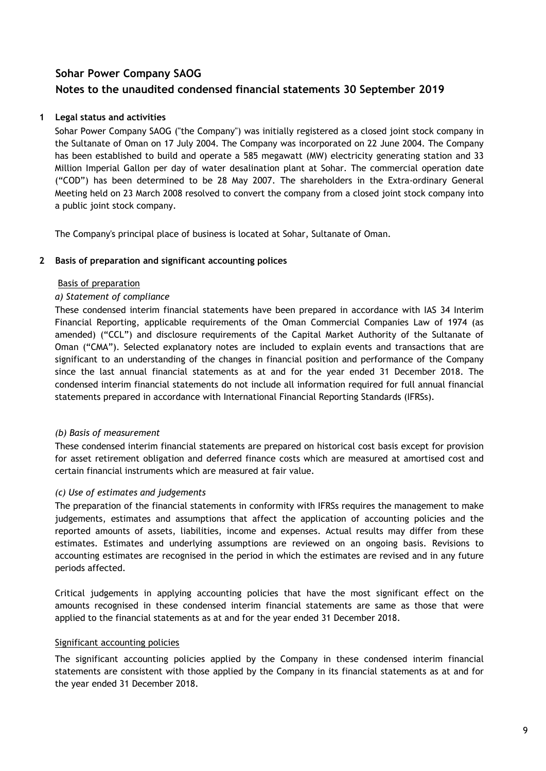### **1 Legal status and activities**

Sohar Power Company SAOG ("the Company") was initially registered as a closed joint stock company in the Sultanate of Oman on 17 July 2004. The Company was incorporated on 22 June 2004. The Company has been established to build and operate a 585 megawatt (MW) electricity generating station and 33 Million Imperial Gallon per day of water desalination plant at Sohar. The commercial operation date ("COD") has been determined to be 28 May 2007. The shareholders in the Extra-ordinary General Meeting held on 23 March 2008 resolved to convert the company from a closed joint stock company into a public joint stock company.

The Company's principal place of business is located at Sohar, Sultanate of Oman.

### **2 Basis of preparation and significant accounting polices**

### Basis of preparation

### *a) Statement of compliance*

These condensed interim financial statements have been prepared in accordance with IAS 34 Interim Financial Reporting, applicable requirements of the Oman Commercial Companies Law of 1974 (as amended) ("CCL") and disclosure requirements of the Capital Market Authority of the Sultanate of Oman ("CMA"). Selected explanatory notes are included to explain events and transactions that are significant to an understanding of the changes in financial position and performance of the Company since the last annual financial statements as at and for the year ended 31 December 2018. The condensed interim financial statements do not include all information required for full annual financial statements prepared in accordance with International Financial Reporting Standards (IFRSs).

### *(b) Basis of measurement*

These condensed interim financial statements are prepared on historical cost basis except for provision for asset retirement obligation and deferred finance costs which are measured at amortised cost and certain financial instruments which are measured at fair value.

### *(c) Use of estimates and judgements*

The preparation of the financial statements in conformity with IFRSs requires the management to make judgements, estimates and assumptions that affect the application of accounting policies and the reported amounts of assets, liabilities, income and expenses. Actual results may differ from these estimates. Estimates and underlying assumptions are reviewed on an ongoing basis. Revisions to accounting estimates are recognised in the period in which the estimates are revised and in any future periods affected.

Critical judgements in applying accounting policies that have the most significant effect on the amounts recognised in these condensed interim financial statements are same as those that were applied to the financial statements as at and for the year ended 31 December 2018.

### Significant accounting policies

The significant accounting policies applied by the Company in these condensed interim financial statements are consistent with those applied by the Company in its financial statements as at and for the year ended 31 December 2018.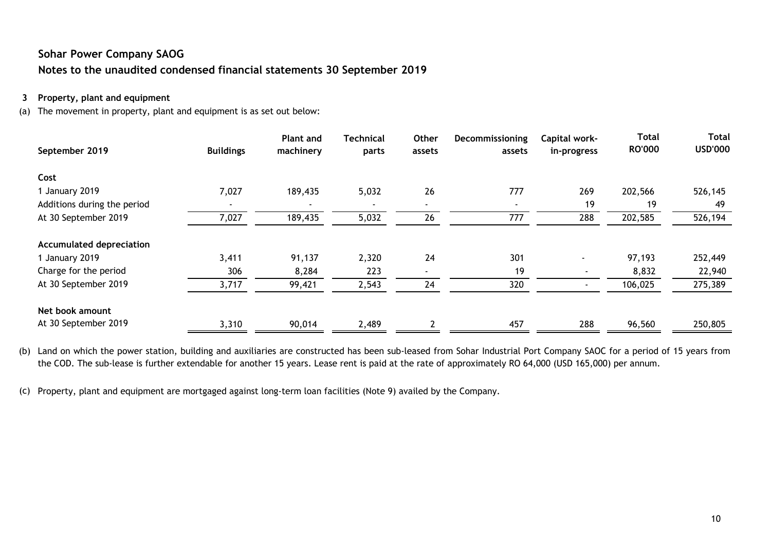### **3 Property, plant and equipment**

(a) The movement in property, plant and equipment is as set out below:

| September 2019                  | <b>Buildings</b> | <b>Plant and</b><br>machinery | <b>Technical</b><br>parts | Other<br>assets          | Decommissioning<br>assets | Capital work-<br>in-progress | <b>Total</b><br><b>RO'000</b> | <b>Total</b><br><b>USD'000</b> |
|---------------------------------|------------------|-------------------------------|---------------------------|--------------------------|---------------------------|------------------------------|-------------------------------|--------------------------------|
| Cost                            |                  |                               |                           |                          |                           |                              |                               |                                |
| 1 January 2019                  | 7,027            | 189,435                       | 5,032                     | 26                       | 777                       | 269                          | 202,566                       | 526,145                        |
| Additions during the period     |                  |                               | $\overline{\phantom{a}}$  | $\blacksquare$           | $\overline{\phantom{0}}$  | 19                           | 19                            | 49                             |
| At 30 September 2019            | 7,027            | 189,435                       | 5,032                     | 26                       | 777                       | 288                          | 202,585                       | 526,194                        |
| <b>Accumulated depreciation</b> |                  |                               |                           |                          |                           |                              |                               |                                |
| 1 January 2019                  | 3,411            | 91,137                        | 2,320                     | 24                       | 301                       | $\blacksquare$               | 97,193                        | 252,449                        |
| Charge for the period           | 306              | 8,284                         | 223                       | $\overline{\phantom{a}}$ | 19                        | $\overline{\phantom{a}}$     | 8,832                         | 22,940                         |
| At 30 September 2019            | 3,717            | 99,421                        | 2,543                     | 24                       | 320                       |                              | 106,025                       | 275,389                        |
| Net book amount                 |                  |                               |                           |                          |                           |                              |                               |                                |
| At 30 September 2019            | 3,310            | 90,014                        | 2,489                     | $\overline{\mathbf{c}}$  | 457                       | 288                          | 96,560                        | 250,805                        |

(b) Land on which the power station, building and auxiliaries are constructed has been sub-leased from Sohar Industrial Port Company SAOC for a period of 15 years from the COD. The sub-lease is further extendable for another 15 years. Lease rent is paid at the rate of approximately RO 64,000 (USD 165,000) per annum.

(c) Property, plant and equipment are mortgaged against long-term loan facilities (Note 9) availed by the Company.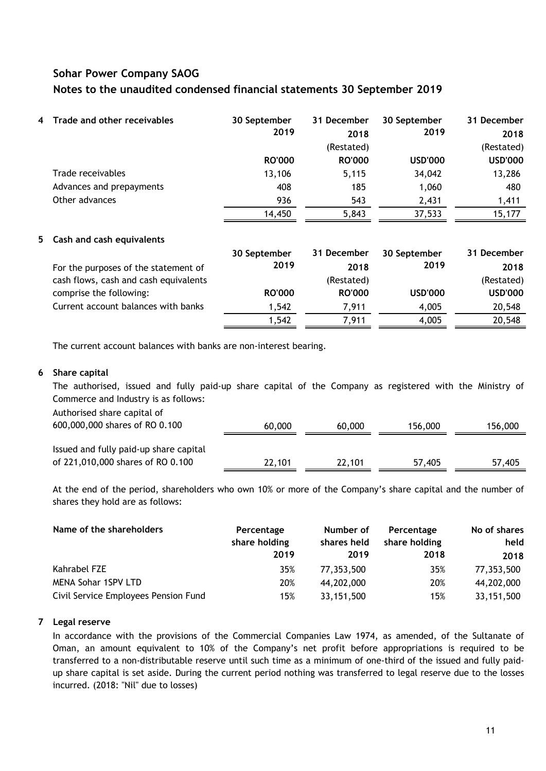| $\overline{4}$ | Trade and other receivables | 30 September  | 31 December   | 30 September   | 31 December    |
|----------------|-----------------------------|---------------|---------------|----------------|----------------|
|                |                             | 2019          | 2018          | 2019           | 2018           |
|                |                             |               | (Restated)    |                | (Restated)     |
|                |                             | <b>RO'000</b> | <b>RO'000</b> | <b>USD'000</b> | <b>USD'000</b> |
|                | Trade receivables           | 13,106        | 5,115         | 34,042         | 13,286         |
|                | Advances and prepayments    | 408           | 185           | 1,060          | 480            |
|                | Other advances              | 936           | 543           | 2,431          | 1,411          |
|                |                             | 14,450        | 5,843         | 37,533         | 15,177         |

### **5 Cash and cash equivalents**

|                                       | 30 September  | 31 December   | 30 September   | 31 December    |
|---------------------------------------|---------------|---------------|----------------|----------------|
| For the purposes of the statement of  | 2019          | 2018          | 2019           | 2018           |
| cash flows, cash and cash equivalents |               | (Restated)    |                | (Restated)     |
| comprise the following:               | <b>RO'000</b> | <b>RO'000</b> | <b>USD'000</b> | <b>USD'000</b> |
| Current account balances with banks   | 1,542         | 7.911         | 4.005          | 20,548         |
|                                       | 1,542         | 7,911         | 4,005          | 20,548         |

The current account balances with banks are non-interest bearing.

### **6 Share capital**

The authorised, issued and fully paid-up share capital of the Company as registered with the Ministry of Commerce and Industry is as follows:

| Authorised share capital of<br>600,000,000 shares of RO 0.100               | 60,000 | 60,000 | 156,000 | 156,000 |
|-----------------------------------------------------------------------------|--------|--------|---------|---------|
| Issued and fully paid-up share capital<br>of 221,010,000 shares of RO 0.100 | 22,101 | 22,101 | 57,405  | 57,405  |

At the end of the period, shareholders who own 10% or more of the Company"s share capital and the number of shares they hold are as follows:

| Name of the shareholders             | Percentage    | Number of   | Percentage    | No of shares |
|--------------------------------------|---------------|-------------|---------------|--------------|
|                                      | share holding | shares held | share holding | held         |
|                                      | 2019          | 2019        | 2018          | 2018         |
| Kahrabel FZE                         | 35%           | 77,353,500  | 35%           | 77,353,500   |
| <b>MENA Sohar 1SPV LTD</b>           | 20%           | 44,202,000  | 20%           | 44,202,000   |
| Civil Service Employees Pension Fund | 15%           | 33,151,500  | 15%           | 33,151,500   |

### **7 Legal reserve**

In accordance with the provisions of the Commercial Companies Law 1974, as amended, of the Sultanate of Oman, an amount equivalent to 10% of the Company"s net profit before appropriations is required to be transferred to a non-distributable reserve until such time as a minimum of one-third of the issued and fully paidup share capital is set aside. During the current period nothing was transferred to legal reserve due to the losses incurred. (2018: "Nil" due to losses)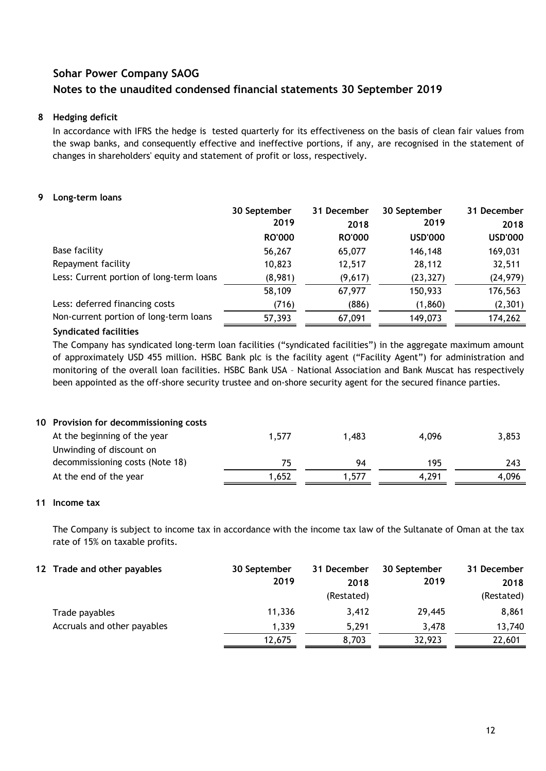### **8 Hedging deficit**

In accordance with IFRS the hedge is tested quarterly for its effectiveness on the basis of clean fair values from the swap banks, and consequently effective and ineffective portions, if any, are recognised in the statement of changes in shareholders' equity and statement of profit or loss, respectively.

### **9 Long-term loans**

|                                          | 30 September  | 31 December   | 30 September   | 31 December    |
|------------------------------------------|---------------|---------------|----------------|----------------|
|                                          | 2019          | 2018          | 2019           | 2018           |
|                                          | <b>RO'000</b> | <b>RO'000</b> | <b>USD'000</b> | <b>USD'000</b> |
| <b>Base facility</b>                     | 56,267        | 65,077        | 146,148        | 169,031        |
| Repayment facility                       | 10,823        | 12,517        | 28,112         | 32,511         |
| Less: Current portion of long-term loans | (8,981)       | (9,617)       | (23, 327)      | (24, 979)      |
|                                          | 58,109        | 67,977        | 150,933        | 176,563        |
| Less: deferred financing costs           | (716)         | (886)         | (1,860)        | (2,301)        |
| Non-current portion of long-term loans   | 57,393        | 67,091        | 149,073        | 174,262        |

### **Syndicated facilities**

The Company has syndicated long-term loan facilities ("syndicated facilities") in the aggregate maximum amount of approximately USD 455 million. HSBC Bank plc is the facility agent ("Facility Agent") for administration and monitoring of the overall loan facilities. HSBC Bank USA – National Association and Bank Muscat has respectively been appointed as the off-shore security trustee and on-shore security agent for the secured finance parties.

|  | 10 Provision for decommissioning costs |  |
|--|----------------------------------------|--|
|--|----------------------------------------|--|

| At the beginning of the year    | 1,577 | 1.483 | 4.096 | 3,853 |
|---------------------------------|-------|-------|-------|-------|
| Unwinding of discount on        |       |       |       |       |
| decommissioning costs (Note 18) |       | 94    | 195   | 243   |
| At the end of the year          | 1.652 | 1.577 | 4.291 | 4.096 |

## **11 Income tax**

The Company is subject to income tax in accordance with the income tax law of the Sultanate of Oman at the tax rate of 15% on taxable profits.

| 12 Trade and other payables | 30 September<br>2019 | 31 December<br>2018<br>(Restated) | 30 September<br>2019 | 31 December<br>2018<br>(Restated) |
|-----------------------------|----------------------|-----------------------------------|----------------------|-----------------------------------|
| Trade payables              | 11.336               | 3.412                             | 29,445               | 8,861                             |
| Accruals and other payables | 1,339                | 5.291                             | 3.478                | 13,740                            |
|                             | 12,675               | 8,703                             | 32,923               | 22,601                            |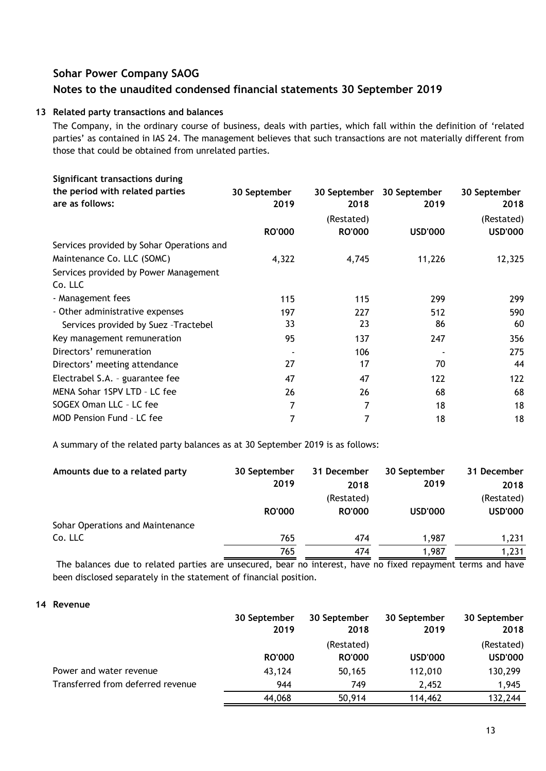### **13 Related party transactions and balances**

The Company, in the ordinary course of business, deals with parties, which fall within the definition of "related parties' as contained in IAS 24. The management believes that such transactions are not materially different from those that could be obtained from unrelated parties.

| Significant transactions during           |               |               |                |                |
|-------------------------------------------|---------------|---------------|----------------|----------------|
| the period with related parties           | 30 September  | 30 September  | 30 September   | 30 September   |
| are as follows:                           | 2019          | 2018          | 2019           | 2018           |
|                                           |               | (Restated)    |                | (Restated)     |
|                                           | <b>RO'000</b> | <b>RO'000</b> | <b>USD'000</b> | <b>USD'000</b> |
| Services provided by Sohar Operations and |               |               |                |                |
| Maintenance Co. LLC (SOMC)                | 4,322         | 4,745         | 11,226         | 12,325         |
| Services provided by Power Management     |               |               |                |                |
| Co. LLC                                   |               |               |                |                |
| - Management fees                         | 115           | 115           | 299            | 299            |
| - Other administrative expenses           | 197           | 227           | 512            | 590            |
| Services provided by Suez - Tractebel     | 33            | 23            | 86             | 60             |
| Key management remuneration               | 95            | 137           | 247            | 356            |
| Directors' remuneration                   |               | 106           |                | 275            |
| Directors' meeting attendance             | 27            | 17            | 70             | 44             |
| Electrabel S.A. - guarantee fee           | 47            | 47            | 122            | 122            |
| MENA Sohar 1SPV LTD - LC fee              | 26            | 26            | 68             | 68             |
| SOGEX Oman LLC - LC fee                   | 7             | 7             | 18             | 18             |
| <b>MOD Pension Fund - LC fee</b>          | 7             | 7             | 18             | 18             |
|                                           |               |               |                |                |

A summary of the related party balances as at 30 September 2019 is as follows:

| Amounts due to a related party   | 30 September<br>2019 | 31 December<br>2018<br>(Restated) | 30 September<br>2019 | 31 December<br>2018<br>(Restated) |
|----------------------------------|----------------------|-----------------------------------|----------------------|-----------------------------------|
| Sohar Operations and Maintenance | <b>RO'000</b>        | <b>RO'000</b>                     | <b>USD'000</b>       | <b>USD'000</b>                    |
| Co. LLC                          | 765                  | 474                               | 1.987                | 1,231                             |
|                                  | 765                  | 474                               | 1,987                | 1,231                             |

The balances due to related parties are unsecured, bear no interest, have no fixed repayment terms and have been disclosed separately in the statement of financial position.

### **14 Revenue**

|                                   | 30 September  | 30 September  | 30 September   | 30 September   |
|-----------------------------------|---------------|---------------|----------------|----------------|
|                                   | 2019          | 2018          | 2019           | 2018           |
|                                   |               | (Restated)    |                | (Restated)     |
|                                   | <b>RO'000</b> | <b>RO'000</b> | <b>USD'000</b> | <b>USD'000</b> |
| Power and water revenue           | 43,124        | 50,165        | 112,010        | 130,299        |
| Transferred from deferred revenue | 944           | 749           | 2.452          | 1,945          |
|                                   | 44,068        | 50,914        | 114,462        | 132,244        |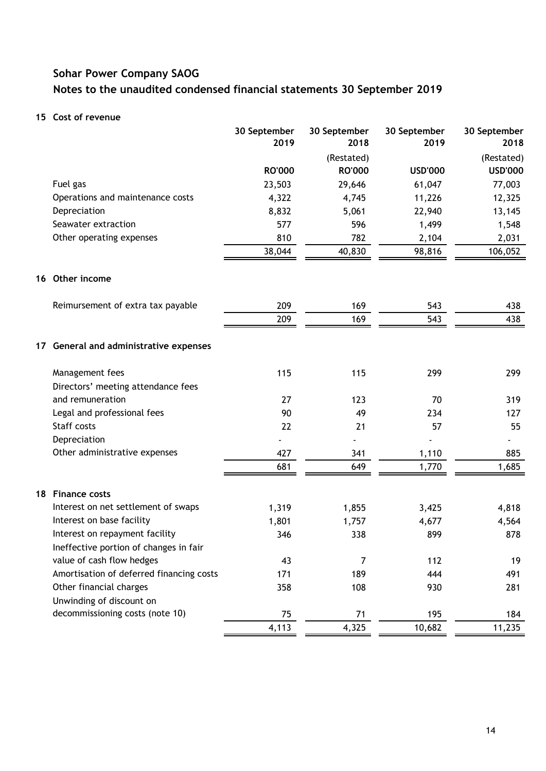### **15 Cost of revenue**

|                                          | 30 September<br>2019 | 30 September<br>2018 | 30 September<br>2019 | 30 September<br>2018 |
|------------------------------------------|----------------------|----------------------|----------------------|----------------------|
|                                          |                      | (Restated)           |                      | (Restated)           |
|                                          | <b>RO'000</b>        | <b>RO'000</b>        | <b>USD'000</b>       | <b>USD'000</b>       |
| Fuel gas                                 | 23,503               | 29,646               | 61,047               | 77,003               |
| Operations and maintenance costs         | 4,322                | 4,745                | 11,226               | 12,325               |
| Depreciation                             | 8,832                | 5,061                | 22,940               | 13,145               |
| Seawater extraction                      | 577                  | 596                  | 1,499                | 1,548                |
| Other operating expenses                 | 810                  | 782                  | 2,104                | 2,031                |
|                                          | 38,044               | 40,830               | 98,816               | 106,052              |
| 16 Other income                          |                      |                      |                      |                      |
| Reimursement of extra tax payable        | 209                  | 169                  | 543                  | 438                  |
|                                          | 209                  | 169                  | 543                  | 438                  |
| 17 General and administrative expenses   |                      |                      |                      |                      |
| Management fees                          | 115                  | 115                  | 299                  | 299                  |
| Directors' meeting attendance fees       |                      |                      |                      |                      |
| and remuneration                         | 27                   | 123                  | 70                   | 319                  |
| Legal and professional fees              | 90                   | 49                   | 234                  | 127                  |
| Staff costs                              | 22                   | 21                   | 57                   | 55                   |
| Depreciation                             |                      |                      |                      |                      |
| Other administrative expenses            | 427                  | 341                  | 1,110                | 885                  |
|                                          | 681                  | 649                  | 1,770                | 1,685                |
| 18 Finance costs                         |                      |                      |                      |                      |
| Interest on net settlement of swaps      | 1,319                | 1,855                | 3,425                | 4,818                |
| Interest on base facility                | 1,801                | 1,757                | 4,677                | 4,564                |
| Interest on repayment facility           | 346                  | 338                  | 899                  | 878                  |
| Ineffective portion of changes in fair   |                      |                      |                      |                      |
| value of cash flow hedges                | 43                   | 7                    | 112                  | 19                   |
| Amortisation of deferred financing costs | 171                  | 189                  | 444                  | 491                  |
| Other financial charges                  | 358                  | 108                  | 930                  | 281                  |
| Unwinding of discount on                 |                      |                      |                      |                      |
| decommissioning costs (note 10)          | 75                   | 71                   | 195                  | 184                  |
|                                          | 4,113                | 4,325                | 10,682               | 11,235               |